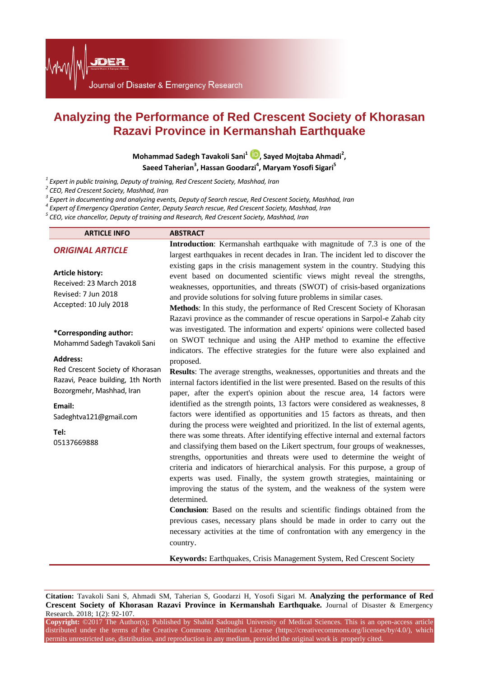Journal of Disaster & Emergency Research

# **Analyzing the Performance of Red Crescent Society of Khorasan Razavi Province in Kermanshah Earthquake**

**Mohammad Sadegh Tavakoli Sani1 [,](http://orcid.org/0000-0001-5076-8649) Sayed Mojtaba Ahmadi<sup>2</sup> ,**  Saeed Taherian<sup>3</sup>, Hassan Goodarzi<sup>4</sup>, Maryam Yosofi Sigari<sup>5</sup>

JDER

<sup>1</sup> Expert in public training, Deputy of training, Red Crescent Society, Mashhad, Iran<br>
<sup>2</sup> CEO, Red Crescent Society, Mashhad, Iran<br>
<sup>3</sup> Expert in documenting and analyzing events, Deputy of Search rescue, Red Crescent S

| <b>ARTICLE INFO</b>                                                                                 | <b>ABSTRACT</b>                                                                                                                                                                                                                                                                                                                                                                                                                                                                                                                                                                                                                                                           |
|-----------------------------------------------------------------------------------------------------|---------------------------------------------------------------------------------------------------------------------------------------------------------------------------------------------------------------------------------------------------------------------------------------------------------------------------------------------------------------------------------------------------------------------------------------------------------------------------------------------------------------------------------------------------------------------------------------------------------------------------------------------------------------------------|
| <b>ORIGINAL ARTICLE</b>                                                                             | Introduction: Kermanshah earthquake with magnitude of 7.3 is one of the                                                                                                                                                                                                                                                                                                                                                                                                                                                                                                                                                                                                   |
| <b>Article history:</b><br>Received: 23 March 2018<br>Revised: 7 Jun 2018<br>Accepted: 10 July 2018 | largest earthquakes in recent decades in Iran. The incident led to discover the<br>existing gaps in the crisis management system in the country. Studying this<br>event based on documented scientific views might reveal the strengths,<br>weaknesses, opportunities, and threats (SWOT) of crisis-based organizations<br>and provide solutions for solving future problems in similar cases.<br>Methods: In this study, the performance of Red Crescent Society of Khorasan                                                                                                                                                                                             |
| *Corresponding author:<br>Mohammd Sadegh Tavakoli Sani<br><b>Address:</b>                           | Razavi province as the commander of rescue operations in Sarpol-e Zahab city<br>was investigated. The information and experts' opinions were collected based<br>on SWOT technique and using the AHP method to examine the effective<br>indicators. The effective strategies for the future were also explained and<br>proposed.                                                                                                                                                                                                                                                                                                                                           |
| Red Crescent Society of Khorasan<br>Razavi, Peace building, 1th North<br>Bozorgmehr, Mashhad, Iran  | Results: The average strengths, weaknesses, opportunities and threats and the<br>internal factors identified in the list were presented. Based on the results of this<br>paper, after the expert's opinion about the rescue area, 14 factors were                                                                                                                                                                                                                                                                                                                                                                                                                         |
| Email:<br>Sadeghtva121@gmail.com                                                                    | identified as the strength points, 13 factors were considered as weaknesses, 8<br>factors were identified as opportunities and 15 factors as threats, and then                                                                                                                                                                                                                                                                                                                                                                                                                                                                                                            |
| Tel:<br>05137669888                                                                                 | during the process were weighted and prioritized. In the list of external agents,<br>there was some threats. After identifying effective internal and external factors<br>and classifying them based on the Likert spectrum, four groups of weaknesses,<br>strengths, opportunities and threats were used to determine the weight of<br>criteria and indicators of hierarchical analysis. For this purpose, a group of<br>experts was used. Finally, the system growth strategies, maintaining or<br>improving the status of the system, and the weakness of the system were<br>determined.<br>Conclusion: Based on the results and scientific findings obtained from the |
|                                                                                                     |                                                                                                                                                                                                                                                                                                                                                                                                                                                                                                                                                                                                                                                                           |

previous cases, necessary plans should be made in order to carry out the necessary activities at the time of confrontation with any emergency in the country.

**Keywords:** Earthquakes, Crisis Management System, Red Crescent Society

**Citation:** Tavakoli Sani S, Ahmadi SM, Taherian S, Goodarzi H, Yosofi Sigari M. **Analyzing the performance of Red Crescent Society of Khorasan Razavi Province in Kermanshah Earthquake.** Journal of Disaster & Emergency Research. 2018; 1(2): 92-107.

**Copyright:** ©2017 The Author(s); Published by Shahid Sadoughi University of Medical Sciences. This is an open-access article distributed under the terms of the Creative Commons Attribution License [\(https://creativecommons.org/licenses/by/4.0/\)](https://creativecommons.org/licenses/by/4.0/), which permits unrestricted use, distribution, and reproduction in any medium, provided the original work is properly cited.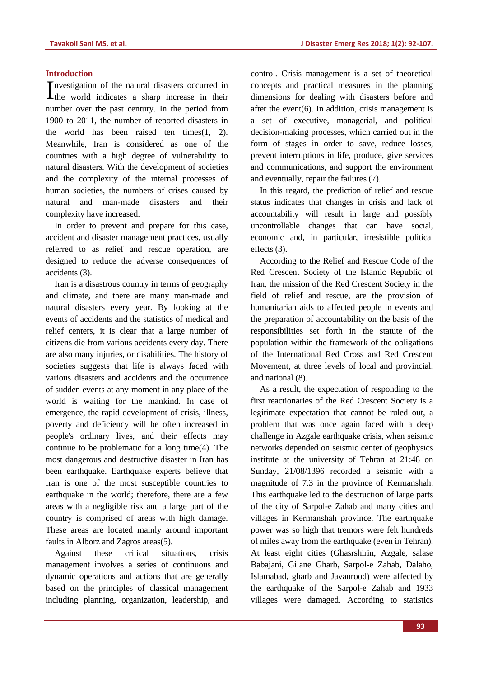## **Introduction**

nvestigation of the natural disasters occurred in Investigation of the natural disasters occurred in their world indicates a sharp increase in their number over the past century. In the period from 1900 to 2011, the number of reported disasters in the world has been raised ten times(1, 2). Meanwhile, Iran is considered as one of the countries with a high degree of vulnerability to natural disasters. With the development of societies and the complexity of the internal processes of human societies, the numbers of crises caused by natural and man-made disasters and their complexity have increased.

In order to prevent and prepare for this case, accident and disaster management practices, usually referred to as relief and rescue operation, are designed to reduce the adverse consequences of accidents (3).

Iran is a disastrous country in terms of geography and climate, and there are many man-made and natural disasters every year. By looking at the events of accidents and the statistics of medical and relief centers, it is clear that a large number of citizens die from various accidents every day. There are also many injuries, or disabilities. The history of societies suggests that life is always faced with various disasters and accidents and the occurrence of sudden events at any moment in any place of the world is waiting for the mankind. In case of emergence, the rapid development of crisis, illness, poverty and deficiency will be often increased in people's ordinary lives, and their effects may continue to be problematic for a long time(4). The most dangerous and destructive disaster in Iran has been earthquake. Earthquake experts believe that Iran is one of the most susceptible countries to earthquake in the world; therefore, there are a few areas with a negligible risk and a large part of the country is comprised of areas with high damage. These areas are located mainly around important faults in Alborz and Zagros areas(5).

Against these critical situations, crisis management involves a series of continuous and dynamic operations and actions that are generally based on the principles of classical management including planning, organization, leadership, and

control. Crisis management is a set of theoretical concepts and practical measures in the planning dimensions for dealing with disasters before and after the event(6). In addition, crisis management is a set of executive, managerial, and political decision-making processes, which carried out in the form of stages in order to save, reduce losses, prevent interruptions in life, produce, give services and communications, and support the environment and eventually, repair the failures (7).

In this regard, the prediction of relief and rescue status indicates that changes in crisis and lack of accountability will result in large and possibly uncontrollable changes that can have social, economic and, in particular, irresistible political effects (3).

According to the Relief and Rescue Code of the Red Crescent Society of the Islamic Republic of Iran, the mission of the Red Crescent Society in the field of relief and rescue, are the provision of humanitarian aids to affected people in events and the preparation of accountability on the basis of the responsibilities set forth in the statute of the population within the framework of the obligations of the International Red Cross and Red Crescent Movement, at three levels of local and provincial, and national (8).

As a result, the expectation of responding to the first reactionaries of the Red Crescent Society is a legitimate expectation that cannot be ruled out, a problem that was once again faced with a deep challenge in Azgale earthquake crisis, when seismic networks depended on seismic center of geophysics institute at the university of Tehran at 21:48 on Sunday, 21/08/1396 recorded a seismic with a magnitude of 7.3 in the province of Kermanshah. This earthquake led to the destruction of large parts of the city of Sarpol-e Zahab and many cities and villages in Kermanshah province. The earthquake power was so high that tremors were felt hundreds of miles away from the earthquake (even in Tehran). At least eight cities (Ghasrshirin, Azgale, salase Babajani, Gilane Gharb, Sarpol-e Zahab, Dalaho, Islamabad, gharb and Javanrood) were affected by the earthquake of the Sarpol-e Zahab and 1933 villages were damaged. According to statistics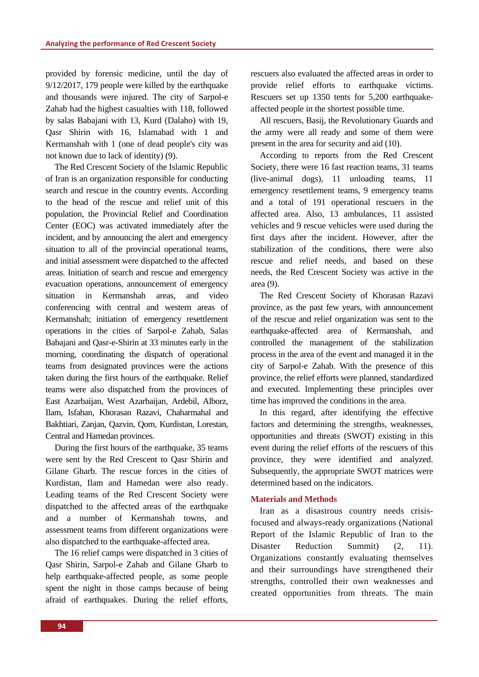provided by forensic medicine, until the day of  $9/12/2017$ , 179 people were killed by the earthquake and thousands were injured. The city of Sarpol-e Zahab had the highest casualties with 118, followed by salas Babajani with 13, Kurd (Dalaho) with 19, Qasr Shirin with 16, Islamabad with 1 and Kermanshah with 1 (one of dead people's city was not known due to lack of identity) (9).

The Red Crescent Society of the Islamic Republic of Iran is an organization responsible for conducting search and rescue in the country events. According to the head of the rescue and relief unit of this population, the Provincial Relief and Coordination Center (EOC) was activated immediately after the incident, and by announcing the alert and emergency situation to all of the provincial operational teams, and initial assessment were dispatched to the affected areas. Initiation of search and rescue and emergency evacuation operations, announcement of emergency situation in Kermanshah areas, and video conferencing with central and western areas of Kermanshah; initiation of emergency resettlement operations in the cities of Sarpol-e Zahab, Salas Babajani and Qasr-e-Shirin at 33 minutes early in the morning, coordinating the dispatch of operational teams from designated provinces were the actions taken during the first hours of the earthquake. Relief teams were also dispatched from the provinces of East Azarbaijan, West Azarbaijan, Ardebil, Alborz, Ilam, Isfahan, Khorasan Razavi, Chaharmahal and Bakhtiari, Zanjan, Qazvin, Qom, Kurdistan, Lorestan, Central and Hamedan provinces.

During the first hours of the earthquake, 35 teams were sent by the Red Crescent to Qasr Shirin and Gilane Gharb. The rescue forces in the cities of Kurdistan, Ilam and Hamedan were also ready. Leading teams of the Red Crescent Society were dispatched to the affected areas of the earthquake and a number of Kermanshah towns, and assessment teams from different organizations were also dispatched to the earthquake-affected area.

The 16 relief camps were dispatched in 3 cities of Qasr Shirin, Sarpol-e Zahab and Gilane Gharb to help earthquake-affected people, as some people spent the night in those camps because of being afraid of earthquakes. During the relief efforts, rescuers also evaluated the affected areas in order to provide relief efforts to earthquake victims. Rescuers set up 1350 tents for 5,200 earthquakeaffected people in the shortest possible time.

All rescuers, Basij, the Revolutionary Guards and the army were all ready and some of them were present in the area for security and aid (10).

According to reports from the Red Crescent Society, there were 16 fast reaction teams, 31 teams (live-animal dogs), 11 unloading teams, 11 emergency resettlement teams, 9 emergency teams and a total of 191 operational rescuers in the affected area. Also, 13 ambulances, 11 assisted vehicles and 9 rescue vehicles were used during the first days after the incident. However, after the stabilization of the conditions, there were also rescue and relief needs, and based on these needs, the Red Crescent Society was active in the area (9).

The Red Crescent Society of Khorasan Razavi province, as the past few years, with announcement of the rescue and relief organization was sent to the earthquake-affected area of Kermanshah, and controlled the management of the stabilization process in the area of the event and managed it in the city of Sarpol-e Zahab. With the presence of this province, the relief efforts were planned, standardized and executed. Implementing these principles over time has improved the conditions in the area.

In this regard, after identifying the effective factors and determining the strengths, weaknesses, opportunities and threats (SWOT) existing in this event during the relief efforts of the rescuers of this province, they were identified and analyzed. Subsequently, the appropriate SWOT matrices were determined based on the indicators.

## **Materials and Methods**

Iran as a disastrous country needs crisisfocused and always-ready organizations (National Report of the Islamic Republic of Iran to the Disaster Reduction Summit) (2, 11). Organizations constantly evaluating themselves and their surroundings have strengthened their strengths, controlled their own weaknesses and created opportunities from threats. The main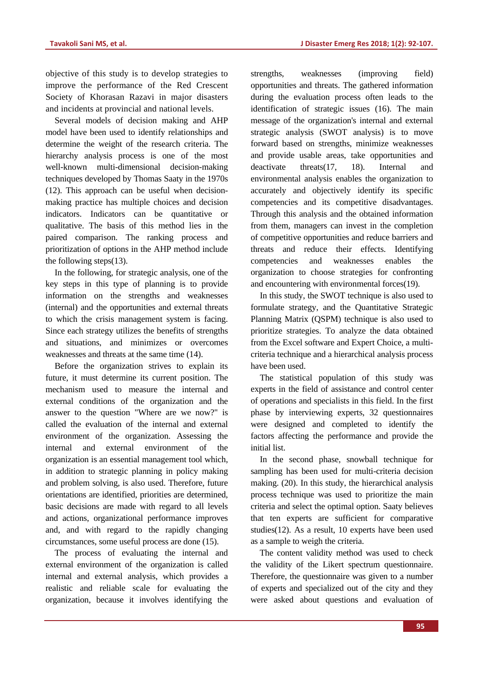objective of this study is to develop strategies to improve the performance of the Red Crescent Society of Khorasan Razavi in major disasters and incidents at provincial and national levels.

Several models of decision making and AHP model have been used to identify relationships and determine the weight of the research criteria. The hierarchy analysis process is one of the most well-known multi-dimensional decision-making techniques developed by Thomas Saaty in the 1970s (12). This approach can be useful when decisionmaking practice has multiple choices and decision indicators. Indicators can be quantitative or qualitative. The basis of this method lies in the paired comparison. The ranking process and prioritization of options in the AHP method include the following steps(13).

In the following, for strategic analysis, one of the key steps in this type of planning is to provide information on the strengths and weaknesses (internal) and the opportunities and external threats to which the crisis management system is facing. Since each strategy utilizes the benefits of strengths and situations, and minimizes or overcomes weaknesses and threats at the same time (14).

Before the organization strives to explain its future, it must determine its current position. The mechanism used to measure the internal and external conditions of the organization and the answer to the question "Where are we now?" is called the evaluation of the internal and external environment of the organization. Assessing the internal and external environment of the organization is an essential management tool which, in addition to strategic planning in policy making and problem solving, is also used. Therefore, future orientations are identified, priorities are determined, basic decisions are made with regard to all levels and actions, organizational performance improves and, and with regard to the rapidly changing circumstances, some useful process are done (15).

The process of evaluating the internal and external environment of the organization is called internal and external analysis, which provides a realistic and reliable scale for evaluating the organization, because it involves identifying the

strengths, weaknesses (improving field) opportunities and threats. The gathered information during the evaluation process often leads to the identification of strategic issues (16). The main message of the organization's internal and external strategic analysis (SWOT analysis) is to move forward based on strengths, minimize weaknesses and provide usable areas, take opportunities and deactivate threats(17, 18). Internal and environmental analysis enables the organization to accurately and objectively identify its specific competencies and its competitive disadvantages. Through this analysis and the obtained information from them, managers can invest in the completion of competitive opportunities and reduce barriers and threats and reduce their effects. Identifying competencies and weaknesses enables the organization to choose strategies for confronting and encountering with environmental forces(19).

In this study, the SWOT technique is also used to formulate strategy, and the Quantitative Strategic Planning Matrix (QSPM) technique is also used to prioritize strategies. To analyze the data obtained from the Excel software and Expert Choice, a multicriteria technique and a hierarchical analysis process have been used.

The statistical population of this study was experts in the field of assistance and control center of operations and specialists in this field. In the first phase by interviewing experts, 32 questionnaires were designed and completed to identify the factors affecting the performance and provide the initial list.

In the second phase, snowball technique for sampling has been used for multi-criteria decision making. (20). In this study, the hierarchical analysis process technique was used to prioritize the main criteria and select the optimal option. Saaty believes that ten experts are sufficient for comparative studies(12). As a result, 10 experts have been used as a sample to weigh the criteria.

The content validity method was used to check the validity of the Likert spectrum questionnaire. Therefore, the questionnaire was given to a number of experts and specialized out of the city and they were asked about questions and evaluation of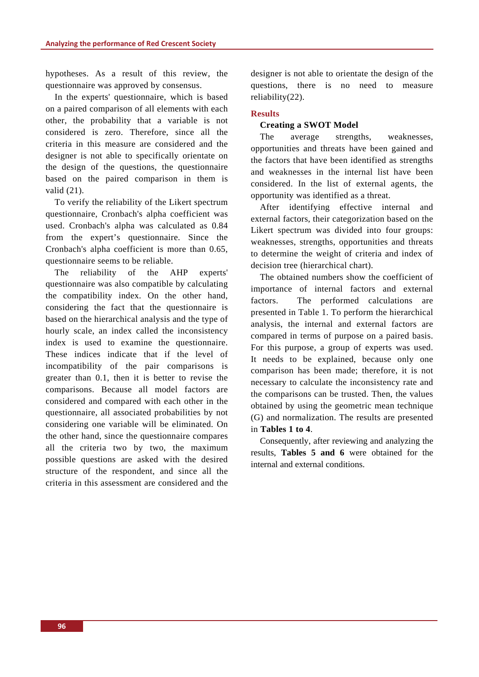hypotheses. As a result of this review, the questionnaire was approved by consensus.

In the experts' questionnaire, which is based on a paired comparison of all elements with each other, the probability that a variable is not considered is zero. Therefore, since all the criteria in this measure are considered and the designer is not able to specifically orientate on the design of the questions, the questionnaire based on the paired comparison in them is valid (21).

To verify the reliability of the Likert spectrum questionnaire, Cronbach's alpha coefficient was used. Cronbach's alpha was calculated as 0.84 from the expert's questionnaire. Since the Cronbach's alpha coefficient is more than 0.65, questionnaire seems to be reliable.

The reliability of the AHP experts' questionnaire was also compatible by calculating the compatibility index. On the other hand, considering the fact that the questionnaire is based on the hierarchical analysis and the type of hourly scale, an index called the inconsistency index is used to examine the questionnaire. These indices indicate that if the level of incompatibility of the pair comparisons is greater than 0.1, then it is better to revise the comparisons. Because all model factors are considered and compared with each other in the questionnaire, all associated probabilities by not considering one variable will be eliminated. On the other hand, since the questionnaire compares all the criteria two by two, the maximum possible questions are asked with the desired structure of the respondent, and since all the criteria in this assessment are considered and the

designer is not able to orientate the design of the questions, there is no need to measure reliability(22).

## **Results**

## **Creating a SWOT Model**

The average strengths, weaknesses, opportunities and threats have been gained and the factors that have been identified as strengths and weaknesses in the internal list have been considered. In the list of external agents, the opportunity was identified as a threat.

After identifying effective internal and external factors, their categorization based on the Likert spectrum was divided into four groups: weaknesses, strengths, opportunities and threats to determine the weight of criteria and index of decision tree (hierarchical chart).

The obtained numbers show the coefficient of importance of internal factors and external factors. The performed calculations are presented in Table 1. To perform the hierarchical analysis, the internal and external factors are compared in terms of purpose on a paired basis. For this purpose, a group of experts was used. It needs to be explained, because only one comparison has been made; therefore, it is not necessary to calculate the inconsistency rate and the comparisons can be trusted. Then, the values obtained by using the geometric mean technique (G) and normalization. The results are presented in **Tables 1 to 4**.

Consequently, after reviewing and analyzing the results, **Tables 5 and 6** were obtained for the internal and external conditions.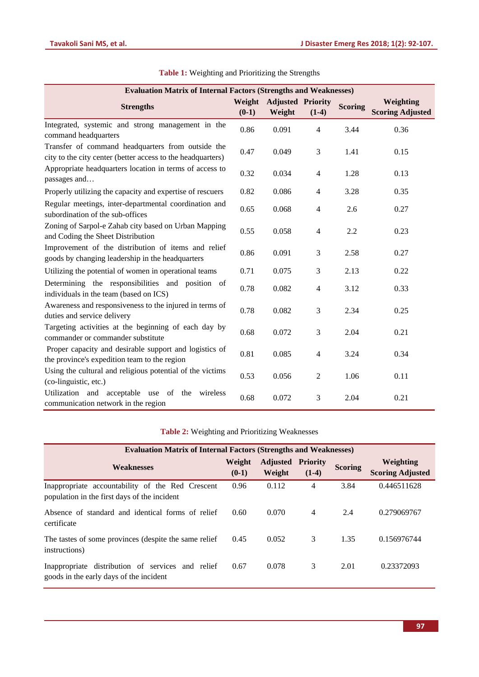| <b>Evaluation Matrix of Internal Factors (Strengths and Weaknesses)</b>                                          |                   |                                    |                |                |                                      |  |
|------------------------------------------------------------------------------------------------------------------|-------------------|------------------------------------|----------------|----------------|--------------------------------------|--|
| <b>Strengths</b>                                                                                                 | Weight<br>$(0-1)$ | <b>Adjusted Priority</b><br>Weight | $(1-4)$        | <b>Scoring</b> | Weighting<br><b>Scoring Adjusted</b> |  |
| Integrated, systemic and strong management in the<br>command headquarters                                        | 0.86              | 0.091                              | $\overline{4}$ | 3.44           | 0.36                                 |  |
| Transfer of command headquarters from outside the<br>city to the city center (better access to the headquarters) | 0.47              | 0.049                              | 3              | 1.41           | 0.15                                 |  |
| Appropriate headquarters location in terms of access to<br>passages and                                          | 0.32              | 0.034                              | $\overline{4}$ | 1.28           | 0.13                                 |  |
| Properly utilizing the capacity and expertise of rescuers                                                        | 0.82              | 0.086                              | $\overline{4}$ | 3.28           | 0.35                                 |  |
| Regular meetings, inter-departmental coordination and<br>subordination of the sub-offices                        | 0.65              | 0.068                              | $\overline{4}$ | 2.6            | 0.27                                 |  |
| Zoning of Sarpol-e Zahab city based on Urban Mapping<br>and Coding the Sheet Distribution                        | 0.55              | 0.058                              | $\overline{4}$ | 2.2            | 0.23                                 |  |
| Improvement of the distribution of items and relief<br>goods by changing leadership in the headquarters          | 0.86              | 0.091                              | $\mathfrak{Z}$ | 2.58           | 0.27                                 |  |
| Utilizing the potential of women in operational teams                                                            | 0.71              | 0.075                              | 3              | 2.13           | 0.22                                 |  |
| Determining the responsibilities and position of<br>individuals in the team (based on ICS)                       | 0.78              | 0.082                              | $\overline{4}$ | 3.12           | 0.33                                 |  |
| Awareness and responsiveness to the injured in terms of<br>duties and service delivery                           | 0.78              | 0.082                              | 3              | 2.34           | 0.25                                 |  |
| Targeting activities at the beginning of each day by<br>commander or commander substitute                        | 0.68              | 0.072                              | 3              | 2.04           | 0.21                                 |  |
| Proper capacity and desirable support and logistics of<br>the province's expedition team to the region           | 0.81              | 0.085                              | $\overline{4}$ | 3.24           | 0.34                                 |  |
| Using the cultural and religious potential of the victims<br>(co-linguistic, etc.)                               | 0.53              | 0.056                              | $\overline{2}$ | 1.06           | 0.11                                 |  |
| Utilization and acceptable use of the<br>wireless<br>communication network in the region                         | 0.68              | 0.072                              | 3              | 2.04           | 0.21                                 |  |

## **Table 1:** Weighting and Prioritizing the Strengths

## **Table 2:** Weighting and Prioritizing Weaknesses

| <b>Evaluation Matrix of Internal Factors (Strengths and Weaknesses)</b>                          |                   |                           |                            |                |                                      |  |
|--------------------------------------------------------------------------------------------------|-------------------|---------------------------|----------------------------|----------------|--------------------------------------|--|
| <b>Weaknesses</b>                                                                                | Weight<br>$(0-1)$ | <b>Adjusted</b><br>Weight | <b>Priority</b><br>$(1-4)$ | <b>Scoring</b> | Weighting<br><b>Scoring Adjusted</b> |  |
| Inappropriate accountability of the Red Crescent<br>population in the first days of the incident | 0.96              | 0.112                     | 4                          | 3.84           | 0.446511628                          |  |
| Absence of standard and identical forms of relief<br>certificate                                 | 0.60              | 0.070                     | $\overline{4}$             | 2.4            | 0.279069767                          |  |
| The tastes of some provinces (despite the same relief<br>instructions)                           | 0.45              | 0.052                     | 3                          | 1.35           | 0.156976744                          |  |
| Inappropriate distribution of services and relief<br>goods in the early days of the incident     | 0.67              | 0.078                     | 3                          | 2.01           | 0.23372093                           |  |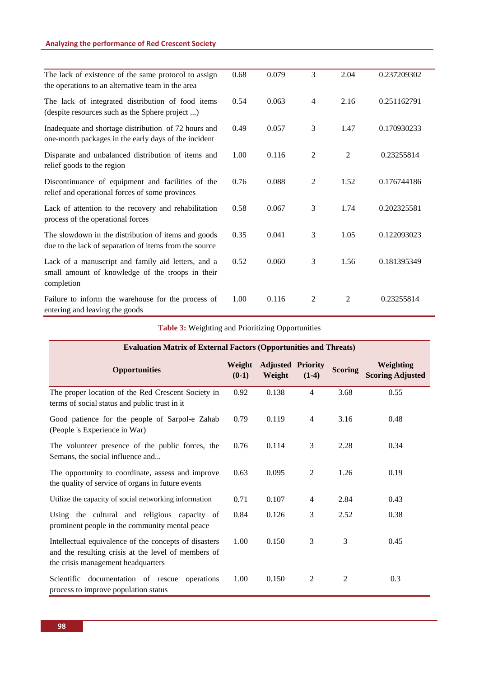## **Analyzing the performance of Red Crescent Society**

| The lack of existence of the same protocol to assign<br>the operations to an alternative team in the area            | 0.68 | 0.079 | 3              | 2.04           | 0.237209302 |
|----------------------------------------------------------------------------------------------------------------------|------|-------|----------------|----------------|-------------|
| The lack of integrated distribution of food items<br>(despite resources such as the Sphere project )                 | 0.54 | 0.063 | 4              | 2.16           | 0.251162791 |
| Inadequate and shortage distribution of 72 hours and<br>one-month packages in the early days of the incident         | 0.49 | 0.057 | 3              | 1.47           | 0.170930233 |
| Disparate and unbalanced distribution of items and<br>relief goods to the region                                     | 1.00 | 0.116 | 2              | $\overline{2}$ | 0.23255814  |
| Discontinuance of equipment and facilities of the<br>relief and operational forces of some provinces                 | 0.76 | 0.088 | 2              | 1.52           | 0.176744186 |
| Lack of attention to the recovery and rehabilitation<br>process of the operational forces                            | 0.58 | 0.067 | 3              | 1.74           | 0.202325581 |
| The slowdown in the distribution of items and goods<br>due to the lack of separation of items from the source        | 0.35 | 0.041 | 3              | 1.05           | 0.122093023 |
| Lack of a manuscript and family aid letters, and a<br>small amount of knowledge of the troops in their<br>completion | 0.52 | 0.060 | 3              | 1.56           | 0.181395349 |
| Failure to inform the warehouse for the process of<br>entering and leaving the goods                                 | 1.00 | 0.116 | $\overline{2}$ | 2              | 0.23255814  |

## **Table 3:** Weighting and Prioritizing Opportunities

| <b>Evaluation Matrix of External Factors (Opportunities and Threats)</b>                                                                           |                   |                           |                            |                |                                             |  |
|----------------------------------------------------------------------------------------------------------------------------------------------------|-------------------|---------------------------|----------------------------|----------------|---------------------------------------------|--|
| <b>Opportunities</b>                                                                                                                               | Weight<br>$(0-1)$ | <b>Adjusted</b><br>Weight | <b>Priority</b><br>$(1-4)$ | <b>Scoring</b> | <b>Weighting</b><br><b>Scoring Adjusted</b> |  |
| The proper location of the Red Crescent Society in<br>terms of social status and public trust in it                                                | 0.92              | 0.138                     | $\overline{4}$             | 3.68           | 0.55                                        |  |
| Good patience for the people of Sarpol-e Zahab<br>(People 's Experience in War)                                                                    | 0.79              | 0.119                     | $\overline{4}$             | 3.16           | 0.48                                        |  |
| The volunteer presence of the public forces, the<br>Semans, the social influence and                                                               | 0.76              | 0.114                     | 3                          | 2.28           | 0.34                                        |  |
| The opportunity to coordinate, assess and improve<br>the quality of service of organs in future events                                             | 0.63              | 0.095                     | $\overline{2}$             | 1.26           | 0.19                                        |  |
| Utilize the capacity of social networking information                                                                                              | 0.71              | 0.107                     | $\overline{4}$             | 2.84           | 0.43                                        |  |
| Using the cultural and religious capacity of<br>prominent people in the community mental peace                                                     | 0.84              | 0.126                     | 3                          | 2.52           | 0.38                                        |  |
| Intellectual equivalence of the concepts of disasters<br>and the resulting crisis at the level of members of<br>the crisis management headquarters | 1.00              | 0.150                     | 3                          | 3              | 0.45                                        |  |
| Scientific documentation of rescue operations<br>process to improve population status                                                              | 1.00              | 0.150                     | 2                          | 2              | 0.3                                         |  |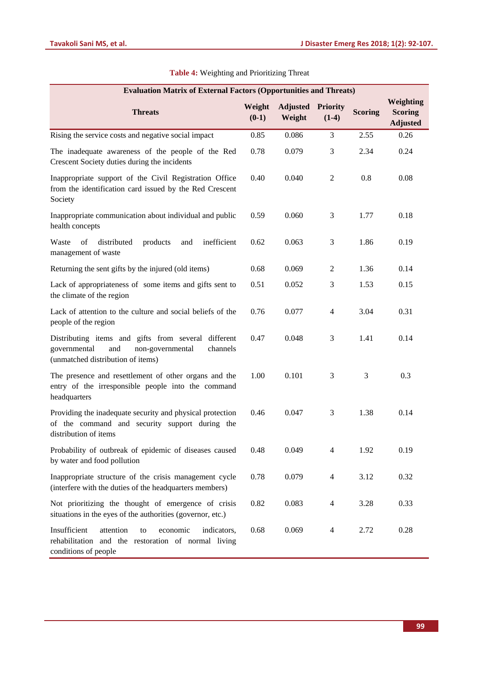| <b>Evaluation Matrix of External Factors (Opportunities and Threats)</b>                                                                        |                   |                           |                            |                |                                                |  |
|-------------------------------------------------------------------------------------------------------------------------------------------------|-------------------|---------------------------|----------------------------|----------------|------------------------------------------------|--|
| <b>Threats</b>                                                                                                                                  | Weight<br>$(0-1)$ | <b>Adjusted</b><br>Weight | <b>Priority</b><br>$(1-4)$ | <b>Scoring</b> | Weighting<br><b>Scoring</b><br><b>Adjusted</b> |  |
| Rising the service costs and negative social impact                                                                                             | 0.85              | 0.086                     | 3                          | 2.55           | 0.26                                           |  |
| The inadequate awareness of the people of the Red<br>Crescent Society duties during the incidents                                               | 0.78              | 0.079                     | 3                          | 2.34           | 0.24                                           |  |
| Inappropriate support of the Civil Registration Office<br>from the identification card issued by the Red Crescent<br>Society                    | 0.40              | 0.040                     | $\overline{2}$             | 0.8            | 0.08                                           |  |
| Inappropriate communication about individual and public<br>health concepts                                                                      | 0.59              | 0.060                     | 3                          | 1.77           | 0.18                                           |  |
| Waste<br>inefficient<br>of<br>distributed<br>products<br>and<br>management of waste                                                             | 0.62              | 0.063                     | 3                          | 1.86           | 0.19                                           |  |
| Returning the sent gifts by the injured (old items)                                                                                             | 0.68              | 0.069                     | $\overline{2}$             | 1.36           | 0.14                                           |  |
| Lack of appropriateness of some items and gifts sent to<br>the climate of the region                                                            | 0.51              | 0.052                     | 3                          | 1.53           | 0.15                                           |  |
| Lack of attention to the culture and social beliefs of the<br>people of the region                                                              | 0.76              | 0.077                     | $\overline{4}$             | 3.04           | 0.31                                           |  |
| Distributing items and gifts from several different<br>governmental<br>and<br>non-governmental<br>channels<br>(unmatched distribution of items) | 0.47              | 0.048                     | 3                          | 1.41           | 0.14                                           |  |
| The presence and resettlement of other organs and the<br>entry of the irresponsible people into the command<br>headquarters                     | 1.00              | 0.101                     | 3                          | 3              | 0.3                                            |  |
| Providing the inadequate security and physical protection<br>of the command and security support during the<br>distribution of items            | 0.46              | 0.047                     | 3                          | 1.38           | 0.14                                           |  |
| Probability of outbreak of epidemic of diseases caused<br>by water and food pollution                                                           | 0.48              | 0.049                     | $\overline{4}$             | 1.92           | 0.19                                           |  |
| Inappropriate structure of the crisis management cycle<br>(interfere with the duties of the headquarters members)                               | 0.78              | 0.079                     | 4                          | 3.12           | 0.32                                           |  |
| Not prioritizing the thought of emergence of crisis<br>situations in the eyes of the authorities (governor, etc.)                               | 0.82              | 0.083                     | 4                          | 3.28           | 0.33                                           |  |
| Insufficient<br>attention<br>economic<br>indicators,<br>to<br>rehabilitation and the restoration of normal living<br>conditions of people       | 0.68              | 0.069                     | 4                          | 2.72           | 0.28                                           |  |

## **Table 4:** Weighting and Prioritizing Threat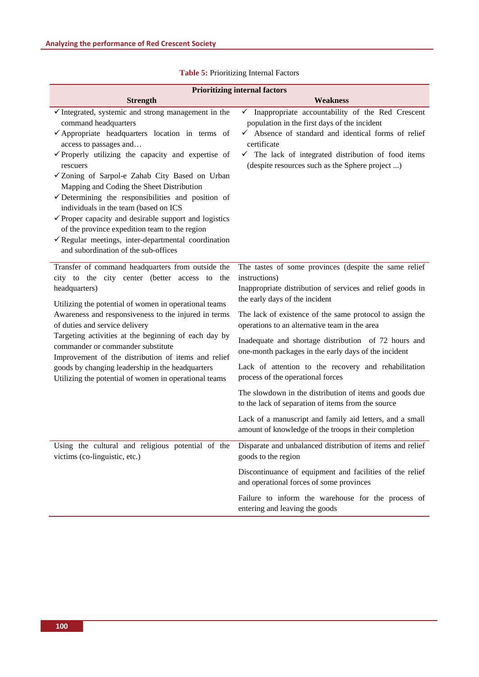| <b>Prioritizing internal factors</b>                                                                                                                                                                                                                                                                                                                                                                                                                                                                                                                                                                                                                                                               |                                                                                                                                                                                                                                                                                                                                                                                                                                                                                                                                                                                                                                                                                                                                        |  |  |  |  |
|----------------------------------------------------------------------------------------------------------------------------------------------------------------------------------------------------------------------------------------------------------------------------------------------------------------------------------------------------------------------------------------------------------------------------------------------------------------------------------------------------------------------------------------------------------------------------------------------------------------------------------------------------------------------------------------------------|----------------------------------------------------------------------------------------------------------------------------------------------------------------------------------------------------------------------------------------------------------------------------------------------------------------------------------------------------------------------------------------------------------------------------------------------------------------------------------------------------------------------------------------------------------------------------------------------------------------------------------------------------------------------------------------------------------------------------------------|--|--|--|--|
| <b>Strength</b>                                                                                                                                                                                                                                                                                                                                                                                                                                                                                                                                                                                                                                                                                    | <b>Weakness</b>                                                                                                                                                                                                                                                                                                                                                                                                                                                                                                                                                                                                                                                                                                                        |  |  |  |  |
| $\checkmark$ Integrated, systemic and strong management in the<br>command headquarters<br>$\checkmark$ Appropriate headquarters location in terms of<br>access to passages and<br>$\checkmark$ Properly utilizing the capacity and expertise of<br>rescuers<br>√Zoning of Sarpol-e Zahab City Based on Urban<br>Mapping and Coding the Sheet Distribution<br>$\checkmark$ Determining the responsibilities and position of<br>individuals in the team (based on ICS<br>$\checkmark$ Proper capacity and desirable support and logistics<br>of the province expedition team to the region<br>$\checkmark$ Regular meetings, inter-departmental coordination<br>and subordination of the sub-offices | Inappropriate accountability of the Red Crescent<br>✓<br>population in the first days of the incident<br>$\checkmark$ Absence of standard and identical forms of relief<br>certificate<br>$\checkmark$ The lack of integrated distribution of food items<br>(despite resources such as the Sphere project )                                                                                                                                                                                                                                                                                                                                                                                                                            |  |  |  |  |
| Transfer of command headquarters from outside the<br>city to the city center (better access to<br>the<br>headquarters)<br>Utilizing the potential of women in operational teams<br>Awareness and responsiveness to the injured in terms<br>of duties and service delivery<br>Targeting activities at the beginning of each day by<br>commander or commander substitute<br>Improvement of the distribution of items and relief<br>goods by changing leadership in the headquarters<br>Utilizing the potential of women in operational teams                                                                                                                                                         | The tastes of some provinces (despite the same relief<br>instructions)<br>Inappropriate distribution of services and relief goods in<br>the early days of the incident<br>The lack of existence of the same protocol to assign the<br>operations to an alternative team in the area<br>Inadequate and shortage distribution of 72 hours and<br>one-month packages in the early days of the incident<br>Lack of attention to the recovery and rehabilitation<br>process of the operational forces<br>The slowdown in the distribution of items and goods due<br>to the lack of separation of items from the source<br>Lack of a manuscript and family aid letters, and a small<br>amount of knowledge of the troops in their completion |  |  |  |  |
| Using the cultural and religious potential of the<br>victims (co-linguistic, etc.)                                                                                                                                                                                                                                                                                                                                                                                                                                                                                                                                                                                                                 | Disparate and unbalanced distribution of items and relief<br>goods to the region                                                                                                                                                                                                                                                                                                                                                                                                                                                                                                                                                                                                                                                       |  |  |  |  |
|                                                                                                                                                                                                                                                                                                                                                                                                                                                                                                                                                                                                                                                                                                    | Discontinuance of equipment and facilities of the relief<br>and operational forces of some provinces                                                                                                                                                                                                                                                                                                                                                                                                                                                                                                                                                                                                                                   |  |  |  |  |
|                                                                                                                                                                                                                                                                                                                                                                                                                                                                                                                                                                                                                                                                                                    | Failure to inform the warehouse for the process of<br>entering and leaving the goods                                                                                                                                                                                                                                                                                                                                                                                                                                                                                                                                                                                                                                                   |  |  |  |  |

|  |  |  |  |  |  |  |  |  | <b>Table 5: Prioritizing Internal Factors</b> |
|--|--|--|--|--|--|--|--|--|-----------------------------------------------|
|--|--|--|--|--|--|--|--|--|-----------------------------------------------|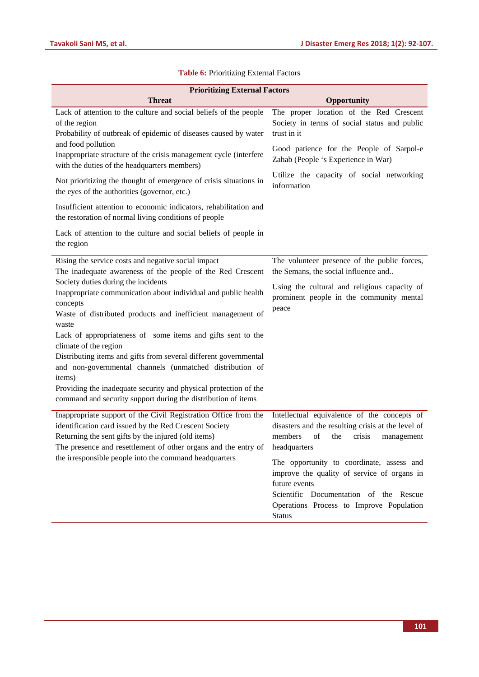| <b>Prioritizing External Factors</b>                                                                                                                                                                                                               |                                                                                                                                                                                                                  |
|----------------------------------------------------------------------------------------------------------------------------------------------------------------------------------------------------------------------------------------------------|------------------------------------------------------------------------------------------------------------------------------------------------------------------------------------------------------------------|
| <b>Threat</b>                                                                                                                                                                                                                                      | Opportunity                                                                                                                                                                                                      |
| Lack of attention to the culture and social beliefs of the people<br>of the region<br>Probability of outbreak of epidemic of diseases caused by water                                                                                              | The proper location of the Red Crescent<br>Society in terms of social status and public<br>trust in it                                                                                                           |
| and food pollution<br>Inappropriate structure of the crisis management cycle (interfere<br>with the duties of the headquarters members)                                                                                                            | Good patience for the People of Sarpol-e<br>Zahab (People 's Experience in War)                                                                                                                                  |
| Not prioritizing the thought of emergence of crisis situations in<br>the eyes of the authorities (governor, etc.)                                                                                                                                  | Utilize the capacity of social networking<br>information                                                                                                                                                         |
| Insufficient attention to economic indicators, rehabilitation and<br>the restoration of normal living conditions of people                                                                                                                         |                                                                                                                                                                                                                  |
| Lack of attention to the culture and social beliefs of people in<br>the region                                                                                                                                                                     |                                                                                                                                                                                                                  |
| Rising the service costs and negative social impact<br>The inadequate awareness of the people of the Red Crescent                                                                                                                                  | The volunteer presence of the public forces,<br>the Semans, the social influence and                                                                                                                             |
| Society duties during the incidents<br>Inappropriate communication about individual and public health<br>concepts<br>Waste of distributed products and inefficient management of<br>waste                                                          | Using the cultural and religious capacity of<br>prominent people in the community mental<br>peace                                                                                                                |
| Lack of appropriateness of some items and gifts sent to the<br>climate of the region                                                                                                                                                               |                                                                                                                                                                                                                  |
| Distributing items and gifts from several different governmental<br>and non-governmental channels (unmatched distribution of<br>items)                                                                                                             |                                                                                                                                                                                                                  |
| Providing the inadequate security and physical protection of the<br>command and security support during the distribution of items                                                                                                                  |                                                                                                                                                                                                                  |
| Inappropriate support of the Civil Registration Office from the<br>identification card issued by the Red Crescent Society<br>Returning the sent gifts by the injured (old items)<br>The presence and resettlement of other organs and the entry of | Intellectual equivalence of the concepts of<br>disasters and the resulting crisis at the level of<br>of<br>crisis<br>members<br>the<br>management<br>headquarters                                                |
| the irresponsible people into the command headquarters                                                                                                                                                                                             | The opportunity to coordinate, assess and<br>improve the quality of service of organs in<br>future events<br>Scientific Documentation of the Rescue<br>Operations Process to Improve Population<br><b>Status</b> |

## **Table 6:** Prioritizing External Factors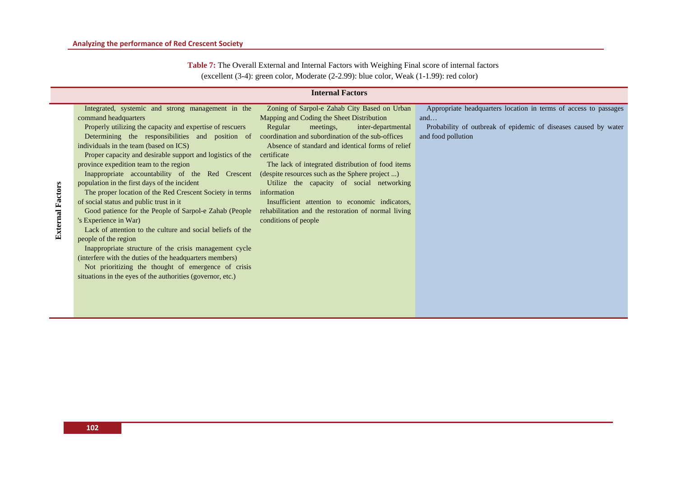| Table 7: The Overall External and Internal Factors with Weighing Final score of internal factors |  |
|--------------------------------------------------------------------------------------------------|--|
| (excellent $(3-4)$ : green color, Moderate $(2-2.99)$ : blue color, Weak $(1-1.99)$ : red color) |  |

|                         |                                                                                                                                                                                                                                                                                                                                                                                                                                                                                                                                                                                                                                                                                                                                                                                                                                                                                                                                                                                                                                                                                                                                                          | <b>Internal Factors</b>                                                                                                                                                                                                                                                                                                                                                  |                                                                                                                                                                  |
|-------------------------|----------------------------------------------------------------------------------------------------------------------------------------------------------------------------------------------------------------------------------------------------------------------------------------------------------------------------------------------------------------------------------------------------------------------------------------------------------------------------------------------------------------------------------------------------------------------------------------------------------------------------------------------------------------------------------------------------------------------------------------------------------------------------------------------------------------------------------------------------------------------------------------------------------------------------------------------------------------------------------------------------------------------------------------------------------------------------------------------------------------------------------------------------------|--------------------------------------------------------------------------------------------------------------------------------------------------------------------------------------------------------------------------------------------------------------------------------------------------------------------------------------------------------------------------|------------------------------------------------------------------------------------------------------------------------------------------------------------------|
| <b>External Factors</b> | Integrated, systemic and strong management in the<br>command headquarters<br>Properly utilizing the capacity and expertise of rescuers<br>Determining the responsibilities and position of coordination and subordination of the sub-offices<br>individuals in the team (based on ICS)<br>Proper capacity and desirable support and logistics of the certificate<br>province expedition team to the region<br>Inappropriate accountability of the Red Crescent (despite resources such as the Sphere project )<br>population in the first days of the incident<br>The proper location of the Red Crescent Society in terms information<br>of social status and public trust in it<br>Good patience for the People of Sarpol-e Zahab (People rehabilitation and the restoration of normal living<br>'s Experience in War)<br>Lack of attention to the culture and social beliefs of the<br>people of the region<br>Inappropriate structure of the crisis management cycle<br>(interfere with the duties of the headquarters members)<br>Not prioritizing the thought of emergence of crisis<br>situations in the eyes of the authorities (governor, etc.) | Zoning of Sarpol-e Zahab City Based on Urban<br>Mapping and Coding the Sheet Distribution<br>Regular<br>meetings,<br>inter-departmental<br>Absence of standard and identical forms of relief<br>The lack of integrated distribution of food items<br>Utilize the capacity of social networking<br>Insufficient attention to economic indicators,<br>conditions of people | Appropriate headquarters location in terms of access to passages<br>and<br>Probability of outbreak of epidemic of diseases caused by water<br>and food pollution |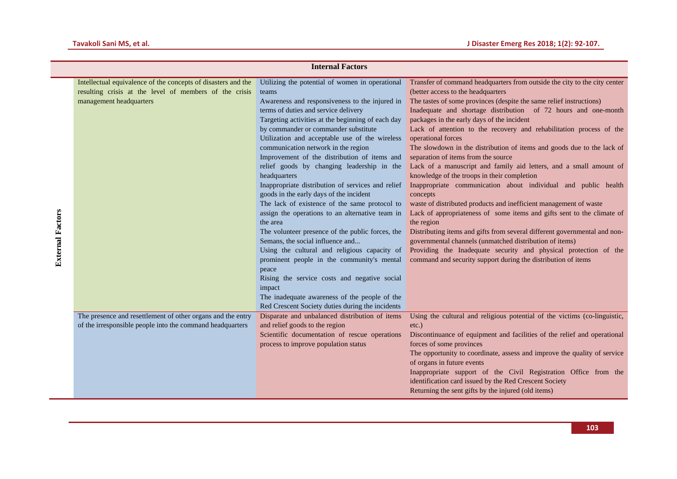|                         |                                                                                                                                                    | <b>Internal Factors</b>                                                                                                                                                                                                                                                                                                                                                                                                                                                                                                                                                                                                                                                                                                                                                                                                                                                                                                                                                          |                                                                                                                                                                                                                                                                                                                                                                                                                                                                                                                                                                                                                                                                                                                                                                                                                                                                                                                                                                                                                                                                                                                                                                   |
|-------------------------|----------------------------------------------------------------------------------------------------------------------------------------------------|----------------------------------------------------------------------------------------------------------------------------------------------------------------------------------------------------------------------------------------------------------------------------------------------------------------------------------------------------------------------------------------------------------------------------------------------------------------------------------------------------------------------------------------------------------------------------------------------------------------------------------------------------------------------------------------------------------------------------------------------------------------------------------------------------------------------------------------------------------------------------------------------------------------------------------------------------------------------------------|-------------------------------------------------------------------------------------------------------------------------------------------------------------------------------------------------------------------------------------------------------------------------------------------------------------------------------------------------------------------------------------------------------------------------------------------------------------------------------------------------------------------------------------------------------------------------------------------------------------------------------------------------------------------------------------------------------------------------------------------------------------------------------------------------------------------------------------------------------------------------------------------------------------------------------------------------------------------------------------------------------------------------------------------------------------------------------------------------------------------------------------------------------------------|
| <b>External Factors</b> | Intellectual equivalence of the concepts of disasters and the<br>resulting crisis at the level of members of the crisis<br>management headquarters | Utilizing the potential of women in operational<br>teams<br>Awareness and responsiveness to the injured in<br>terms of duties and service delivery<br>Targeting activities at the beginning of each day<br>by commander or commander substitute<br>Utilization and acceptable use of the wireless<br>communication network in the region<br>Improvement of the distribution of items and<br>relief goods by changing leadership in the<br>headquarters<br>Inappropriate distribution of services and relief<br>goods in the early days of the incident<br>The lack of existence of the same protocol to<br>assign the operations to an alternative team in<br>the area<br>The volunteer presence of the public forces, the<br>Semans, the social influence and<br>Using the cultural and religious capacity of<br>prominent people in the community's mental<br>peace<br>Rising the service costs and negative social<br>impact<br>The inadequate awareness of the people of the | Transfer of command headquarters from outside the city to the city center<br>(better access to the headquarters<br>The tastes of some provinces (despite the same relief instructions)<br>Inadequate and shortage distribution of 72 hours and one-month<br>packages in the early days of the incident<br>Lack of attention to the recovery and rehabilitation process of the<br>operational forces<br>The slowdown in the distribution of items and goods due to the lack of<br>separation of items from the source<br>Lack of a manuscript and family aid letters, and a small amount of<br>knowledge of the troops in their completion<br>Inappropriate communication about individual and public health<br>concepts<br>waste of distributed products and inefficient management of waste<br>Lack of appropriateness of some items and gifts sent to the climate of<br>the region<br>Distributing items and gifts from several different governmental and non-<br>governmental channels (unmatched distribution of items)<br>Providing the Inadequate security and physical protection of the<br>command and security support during the distribution of items |
|                         | The presence and resettlement of other organs and the entry<br>of the irresponsible people into the command headquarters                           | Red Crescent Society duties during the incidents<br>Disparate and unbalanced distribution of items<br>and relief goods to the region<br>Scientific documentation of rescue operations<br>process to improve population status                                                                                                                                                                                                                                                                                                                                                                                                                                                                                                                                                                                                                                                                                                                                                    | Using the cultural and religious potential of the victims (co-linguistic,<br>$etc.$ )<br>Discontinuance of equipment and facilities of the relief and operational<br>forces of some provinces<br>The opportunity to coordinate, assess and improve the quality of service<br>of organs in future events<br>Inappropriate support of the Civil Registration Office from the<br>identification card issued by the Red Crescent Society<br>Returning the sent gifts by the injured (old items)                                                                                                                                                                                                                                                                                                                                                                                                                                                                                                                                                                                                                                                                       |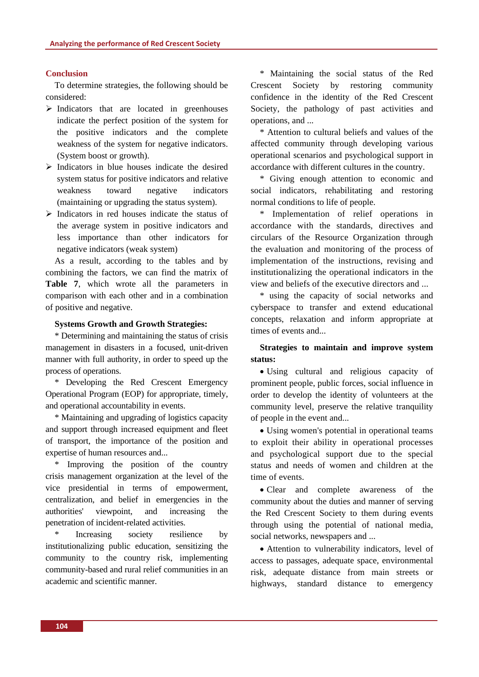#### **Conclusion**

To determine strategies, the following should be considered:

- $\triangleright$  Indicators that are located in greenhouses indicate the perfect position of the system for the positive indicators and the complete weakness of the system for negative indicators. (System boost or growth).
- $\triangleright$  Indicators in blue houses indicate the desired system status for positive indicators and relative weakness toward negative indicators (maintaining or upgrading the status system).
- $\triangleright$  Indicators in red houses indicate the status of the average system in positive indicators and less importance than other indicators for negative indicators (weak system)

As a result, according to the tables and by combining the factors, we can find the matrix of **Table 7**, which wrote all the parameters in comparison with each other and in a combination of positive and negative.

#### **Systems Growth and Growth Strategies:**

\* Determining and maintaining the status of crisis management in disasters in a focused, unit-driven manner with full authority, in order to speed up the process of operations.

\* Developing the Red Crescent Emergency Operational Program (EOP) for appropriate, timely, and operational accountability in events.

\* Maintaining and upgrading of logistics capacity and support through increased equipment and fleet of transport, the importance of the position and expertise of human resources and...

\* Improving the position of the country crisis management organization at the level of the vice presidential in terms of empowerment, centralization, and belief in emergencies in the authorities' viewpoint, and increasing the penetration of incident-related activities.

Increasing society resilience by institutionalizing public education, sensitizing the community to the country risk, implementing community-based and rural relief communities in an academic and scientific manner.

\* Maintaining the social status of the Red Crescent Society by restoring community confidence in the identity of the Red Crescent Society, the pathology of past activities and operations, and ...

\* Attention to cultural beliefs and values of the affected community through developing various operational scenarios and psychological support in accordance with different cultures in the country.

\* Giving enough attention to economic and social indicators, rehabilitating and restoring normal conditions to life of people.

\* Implementation of relief operations in accordance with the standards, directives and circulars of the Resource Organization through the evaluation and monitoring of the process of implementation of the instructions, revising and institutionalizing the operational indicators in the view and beliefs of the executive directors and ...

\* using the capacity of social networks and cyberspace to transfer and extend educational concepts, relaxation and inform appropriate at times of events and...

## **Strategies to maintain and improve system status:**

• Using cultural and religious capacity of prominent people, public forces, social influence in order to develop the identity of volunteers at the community level, preserve the relative tranquility of people in the event and...

• Using women's potential in operational teams to exploit their ability in operational processes and psychological support due to the special status and needs of women and children at the time of events.

• Clear and complete awareness of the community about the duties and manner of serving the Red Crescent Society to them during events through using the potential of national media, social networks, newspapers and ...

• Attention to vulnerability indicators, level of access to passages, adequate space, environmental risk, adequate distance from main streets or highways, standard distance to emergency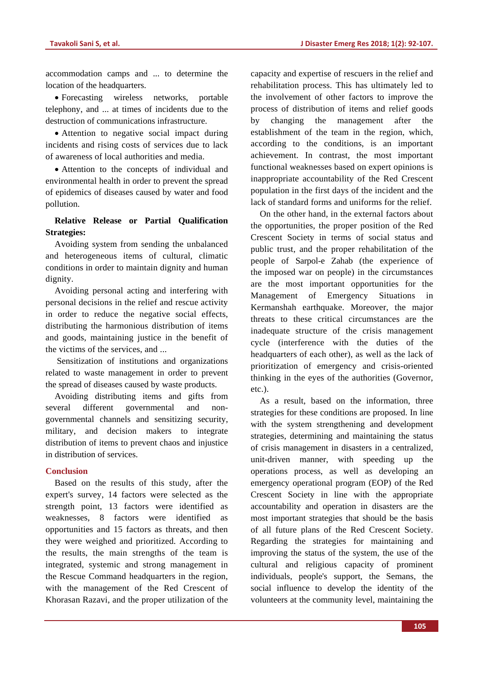accommodation camps and ... to determine the location of the headquarters.

• Forecasting wireless networks, portable telephony, and ... at times of incidents due to the destruction of communications infrastructure.

• Attention to negative social impact during incidents and rising costs of services due to lack of awareness of local authorities and media.

• Attention to the concepts of individual and environmental health in order to prevent the spread of epidemics of diseases caused by water and food pollution.

## **Relative Release or Partial Qualification Strategies:**

Avoiding system from sending the unbalanced and heterogeneous items of cultural, climatic conditions in order to maintain dignity and human dignity.

Avoiding personal acting and interfering with personal decisions in the relief and rescue activity in order to reduce the negative social effects, distributing the harmonious distribution of items and goods, maintaining justice in the benefit of the victims of the services, and ...

Sensitization of institutions and organizations related to waste management in order to prevent the spread of diseases caused by waste products.

Avoiding distributing items and gifts from several different governmental and nongovernmental channels and sensitizing security, military, and decision makers to integrate distribution of items to prevent chaos and injustice in distribution of services.

## **Conclusion**

Based on the results of this study, after the expert's survey, 14 factors were selected as the strength point, 13 factors were identified as weaknesses, 8 factors were identified as opportunities and 15 factors as threats, and then they were weighed and prioritized. According to the results, the main strengths of the team is integrated, systemic and strong management in the Rescue Command headquarters in the region, with the management of the Red Crescent of Khorasan Razavi, and the proper utilization of the capacity and expertise of rescuers in the relief and rehabilitation process. This has ultimately led to the involvement of other factors to improve the process of distribution of items and relief goods by changing the management after the establishment of the team in the region, which, according to the conditions, is an important achievement. In contrast, the most important functional weaknesses based on expert opinions is inappropriate accountability of the Red Crescent population in the first days of the incident and the lack of standard forms and uniforms for the relief.

On the other hand, in the external factors about the opportunities, the proper position of the Red Crescent Society in terms of social status and public trust, and the proper rehabilitation of the people of Sarpol-e Zahab (the experience of the imposed war on people) in the circumstances are the most important opportunities for the Management of Emergency Situations in Kermanshah earthquake. Moreover, the major threats to these critical circumstances are the inadequate structure of the crisis management cycle (interference with the duties of the headquarters of each other), as well as the lack of prioritization of emergency and crisis-oriented thinking in the eyes of the authorities (Governor, etc.).

As a result, based on the information, three strategies for these conditions are proposed. In line with the system strengthening and development strategies, determining and maintaining the status of crisis management in disasters in a centralized, unit-driven manner, with speeding up the operations process, as well as developing an emergency operational program (EOP) of the Red Crescent Society in line with the appropriate accountability and operation in disasters are the most important strategies that should be the basis of all future plans of the Red Crescent Society. Regarding the strategies for maintaining and improving the status of the system, the use of the cultural and religious capacity of prominent individuals, people's support, the Semans, the social influence to develop the identity of the volunteers at the community level, maintaining the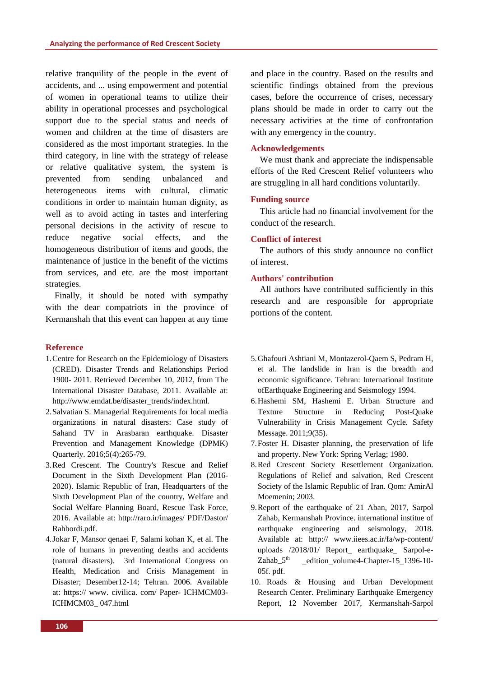relative tranquility of the people in the event of accidents, and ... using empowerment and potential of women in operational teams to utilize their ability in operational processes and psychological support due to the special status and needs of women and children at the time of disasters are considered as the most important strategies. In the third category, in line with the strategy of release or relative qualitative system, the system is prevented from sending unbalanced and heterogeneous items with cultural, climatic conditions in order to maintain human dignity, as well as to avoid acting in tastes and interfering personal decisions in the activity of rescue to reduce negative social effects, and the homogeneous distribution of items and goods, the maintenance of justice in the benefit of the victims from services, and etc. are the most important strategies.

Finally, it should be noted with sympathy with the dear compatriots in the province of Kermanshah that this event can happen at any time

#### **Reference**

- 1.Centre for Research on the Epidemiology of Disasters (CRED). Disaster Trends and Relationships Period 1900- 2011. Retrieved December 10, 2012, from The International Disaster Database, 2011. Available at: http://www.emdat.be/disaster\_trends/index.html.
- 2.Salvatian S. Managerial Requirements for local media organizations in natural disasters: Case study of Sahand TV in Arasbaran earthquake. Disaster Prevention and Management Knowledge (DPMK) Quarterly. 2016;5(4):265-79.
- 3.Red Crescent. The Country's Rescue and Relief Document in the Sixth Development Plan (2016- 2020). Islamic Republic of Iran, Headquarters of the Sixth Development Plan of the country, Welfare and Social Welfare Planning Board, Rescue Task Force, 2016. Available at: http://raro.ir/images/ PDF/Dastor/ Rahbordi.pdf.
- 4.Jokar F, Mansor qenaei F, Salami kohan K, et al. The role of humans in preventing deaths and accidents (natural disasters). 3rd International Congress on Health, Medication and Crisis Management in Disaster; Desember12-14; Tehran. 2006. Available at: https:// www. civilica. com/ Paper- ICHMCM03- ICHMCM03\_ 047.html

and place in the country. Based on the results and scientific findings obtained from the previous cases, before the occurrence of crises, necessary plans should be made in order to carry out the necessary activities at the time of confrontation with any emergency in the country.

#### **Acknowledgements**

We must thank and appreciate the indispensable efforts of the Red Crescent Relief volunteers who are struggling in all hard conditions voluntarily.

#### **Funding source**

This article had no financial involvement for the conduct of the research.

#### **Conflict of interest**

The authors of this study announce no conflict of interest.

#### **Authors' contribution**

All authors have contributed sufficiently in this research and are responsible for appropriate portions of the content.

- 5.Ghafouri Ashtiani M, Montazerol-Qaem S, Pedram H, et al. The landslide in Iran is the breadth and economic significance. Tehran: International Institute ofEarthquake Engineering and Seismology 1994.
- 6.Hashemi SM, Hashemi E. Urban Structure and Texture Structure in Reducing Post-Quake Vulnerability in Crisis Management Cycle. Safety Message. 2011;9(35).
- 7.Foster H. Disaster planning, the preservation of life and property. New York: Spring Verlag; 1980.
- 8.Red Crescent Society Resettlement Organization. Regulations of Relief and salvation, Red Crescent Society of the Islamic Republic of Iran. Qom: AmirAl Moemenin; 2003.
- 9.Report of the earthquake of 21 Aban, 2017, Sarpol Zahab, Kermanshah Province. international institue of earthquake engineering and seismology, 2018. Available at: http:// www.iiees.ac.ir/fa/wp-content/ uploads /2018/01/ Report\_ earthquake\_ Sarpol-e-Zahab  $5<sup>th</sup>$  edition volume4-Chapter-15 1396-10-05f. pdf.
- 10. Roads & Housing and Urban Development Research Center. Preliminary Earthquake Emergency Report, 12 November 2017, Kermanshah-Sarpol